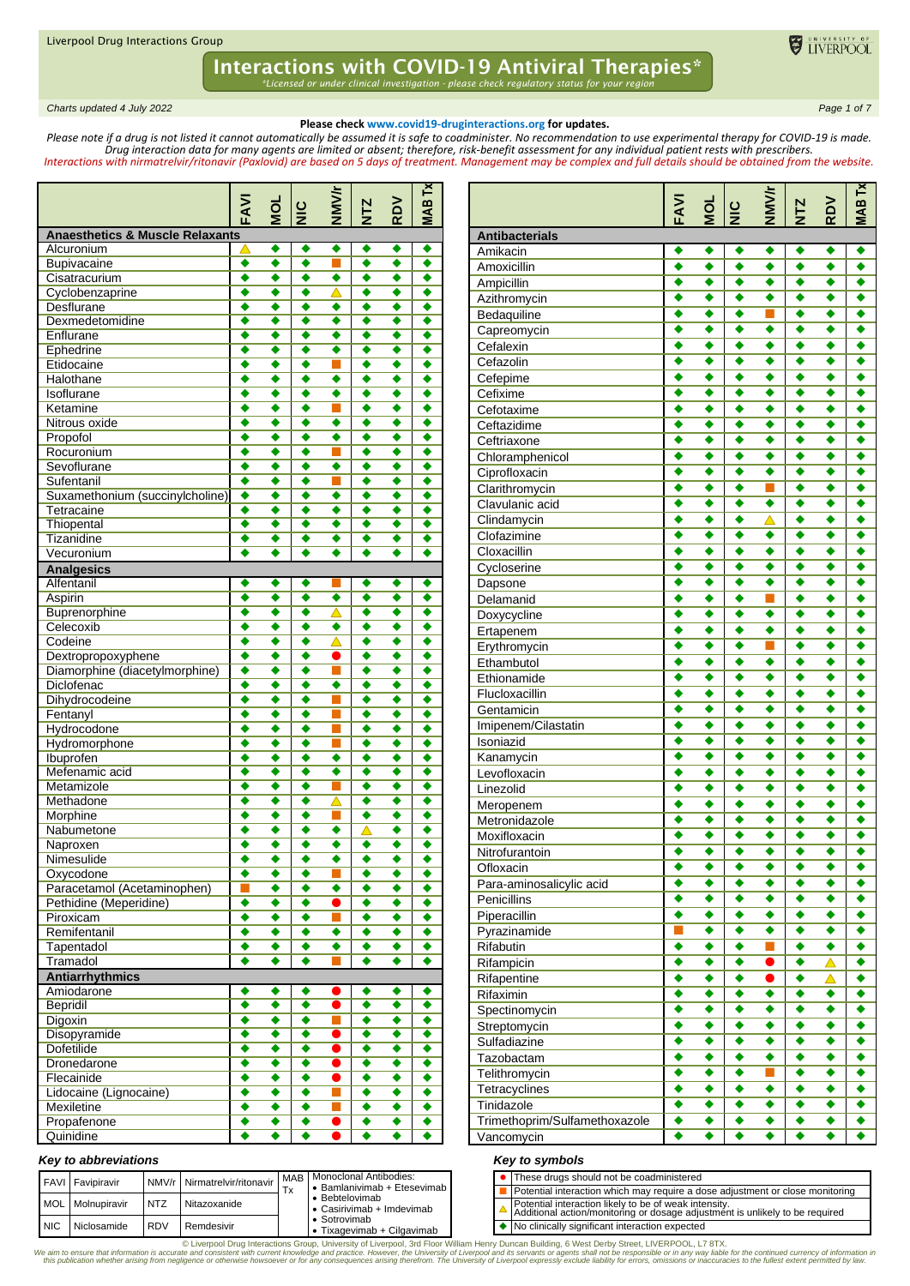*Charts updated 4 July 2022 Page 1 of 7*

#### **Please check www.covid19-druginteractions.org for updates.**

TIVERPOOL

**MAB Tx**

*Please note if a drug is not listed it cannot automatically be assumed it is safe to coadminister. No recommendation to use experimental therapy for COVID-19 is made. Drug interaction data for many agents are limited or absent; therefore, risk-benefit assessment for any individual patient rests with prescribers. Interactions with nirmatrelvir/ritonavir (Paxlovid) are based on 5 days of treatment. Management may be complex and full details should be obtained from the website.*

**Antibacterials** 

|                                            | FAVI   | Ō      | $rac{c}{\mathbf{z}}$ | NMV/r            | <b>NTZ</b>  | RDV    | <b>IABTx</b> |
|--------------------------------------------|--------|--------|----------------------|------------------|-------------|--------|--------------|
| <b>Anaesthetics &amp; Muscle Relaxants</b> |        |        |                      |                  |             |        |              |
| Alcuronium                                 | △      | ٠      | ٠                    | ٠                |             |        |              |
| Bupivacaine                                | ٠      | ٠      | ٠                    |                  | ٠           | ٠      | ٠            |
| Cisatracurium                              | ٠      | ٠      | ٠                    | ٠                | ٠           | ٠      | ٠            |
| Cyclobenzaprine                            | ٠      | ٠      | ٠                    | △                |             | ٠      | ٠            |
| <b>Desflurane</b>                          | ٠      | ٠      | ٠                    | ٠                | ٠           | ٠      | ٠            |
| Dexmedetomidine                            | ٠      | ٠      | ٠                    | ٠                | ٠           | ٠      | ٠            |
| Enflurane                                  | ٠      | ٠      | ٠                    | ٠                | ٠           | ٠      | ٠            |
| Ephedrine                                  | ٠      | ٠      | ٠                    | ٠                | ٠           | ٠      | ٠            |
| Etidocaine                                 | ٠      | ٠      | ٠                    | Ξ                | ٠           | ٠      | ٠            |
| Halothane                                  | ٠      | ٠      | ٠                    | ٠                | ٠           | ٠      | ٠            |
| Isoflurane                                 | ٠<br>٠ | ٠<br>٠ | ٠<br>٠               | ٠<br>Τ           | ٠<br>٠      | ٠<br>٠ | ٠<br>٠       |
| Ketamine<br>Nitrous oxide                  | ٠      | ٠      | ٠                    | ٠                | ٠           | ٠      | ٠            |
|                                            | ٠      | ٠      | ٠                    | ٠                | ٠           | ٠      | ٠            |
| Propofol<br>Rocuronium                     | ٠      | ٠      | ٠                    | Г                | ٠           | ٠      | ٠            |
| Sevoflurane                                | ٠      | ٠      | ٠                    | ٠                | ٠           | ٠      | ٠            |
| Sufentanil                                 | ٠      | ٠      | ٠                    | Г                | ٠           | ٠      | ٠            |
| Suxamethonium (succinylcholine)            | ٠      | ٠      | ٠                    | ٠                | ٠           | ٠      | ٠            |
| Tetracaine                                 | ٠      | ٠      | ٠                    | ٠                | ٠           | ٠      | ٠            |
| Thiopental                                 | ٠      | ٠      | ٠                    | ٠                | ٠           | ٠      | ٠            |
| Tizanidine                                 | ٠      | ٠      | ٠                    | ٠                | ٠           | ٠      | ٠            |
| Vecuronium                                 | ٠      | ٠      | ٠                    | ٠                | ٠           | ٠      | ٠            |
| <b>Analgesics</b>                          |        |        |                      |                  |             |        |              |
| Alfentanil                                 | ٠      | ٠      | ٠                    |                  | ٠           | ٠      | ٠            |
| Aspirin                                    | ٠      | ٠      | ٠                    | ٠                | ٠           | ٠      | ٠            |
| Buprenorphine                              | ٠      | ٠      | ٠                    | △                |             | ٠      | ٠            |
| Celecoxib                                  | ٠      | ٠      | ٠                    | ٠                | ٠           | ٠      | ٠            |
| Codeine                                    | ٠      | ٠      | ٠                    | △                | ٠           | ٠      | ٠            |
| Dextropropoxyphene                         | ٠      | ٠      | ٠                    | 0                | ٠           | ٠      | ٠            |
| Diamorphine (diacetylmorphine)             | ٠      | ٠      | ٠                    | ×.               | ٠           | ٠      | ٠            |
| Diclofenac                                 | ٠      | ٠      | ٠                    | ٠                | ٠           | ٠      | ٠            |
| Dihydrocodeine                             | ٠      | ٠      | ٠                    |                  | ٠           | ٠      | ٠            |
| Fentanyl                                   | ٠      | ٠      | ٠                    |                  | ٠           | ٠      | ٠            |
| Hydrocodone                                | ٠      | ٠      | ٠                    |                  | ٠           | ٠      | ٠            |
| Hydromorphone                              | ٠      | ٠      | ٠                    |                  | ٠           | ٠      | ٠            |
| Ibuprofen                                  | ٠      | ٠      | ٠                    | ٠                | ٠           | ٠      | ٠            |
| Mefenamic acid                             | ٠      | ٠      | ٠                    | ٠                | ٠           | ٠      | ٠            |
| Metamizole                                 | ٠      | ٠      | ٠                    | ٦                | ٠           | ٠      | ٠            |
| Methadone                                  | ٠      | ٠      | ٠                    | $\blacktriangle$ | ٠           | ٠      | ٠            |
| Morphine                                   | ٠      | ٠      | ٠                    |                  | ٠           | ٠      | ٠            |
| Nabumetone                                 | ٠      | ٠      | ٠                    | ٠                | $\triangle$ | ٠      | ٠            |
| Naproxen                                   | ٠      | ٠      | ٠                    | ٠                | ٠           | ٠      | ٠            |
| Nimesulide                                 | ٠      | ٠      | $\overline{\bullet}$ | ٠                | ٠           | ٠      | ٠            |
| Oxycodone                                  | ◆      | ♥      | ♥                    |                  |             | ٠      | ♥            |
| Paracetamol (Acetaminophen)                | п      | ٠      | ٠                    | ٠                | ٠           | ٠      | ٠            |
| Pethidine (Meperidine)                     | ٠      | ٠      | ٠                    | $\bullet$        | ٠           | ٠      | ٠            |
| Piroxicam                                  | ٠      | ٠      | ٠                    | ш                | ٠           | ٠      | ٠            |
| Remifentanil                               | ٠      | ٠      | ٠                    | ٠                | ٠           | ٠      | ٠            |
| Tapentadol                                 | ٠      | ٠      | $\overline{\bullet}$ | ٠                | ٠           | ٠      | ٠            |
| Tramadol                                   | ٠      | ٠      | ٠                    |                  |             | ٠      | ٠            |
| <b>Antiarrhythmics</b>                     |        |        |                      |                  |             |        |              |
| Amiodarone                                 | ٠      | ٠      | ٠                    |                  | ٠           | ٠      | ٠            |
| <b>Bepridil</b>                            | ٠      | ٠      | ٠                    | $\bullet$        | ٠           | ٠      | ٠            |
| Digoxin                                    | ٠      | ٠      | ٠                    | ٦                | ٠           | ٠      | ٠            |
| Disopyramide                               | ٠      | ٠      | ٠                    | D                | ٠           | ٠      | ٠            |
| <b>Dofetilide</b>                          | ٠      | ٠      | ٠                    | $\bullet$        | ٠           | ٠      | ٠            |
| Dronedarone                                | ٠      | ٠      | ٠                    | ●                | ٠           | ٠      | ٠            |
| Flecainide                                 | ٠      | ٠      | ٠                    | ●                | ٠           | ٠      | ٠            |
| Lidocaine (Lignocaine)                     | ٠      | ٠      | ٠                    | ▅                | ٠           | ٠      | ٠            |
| Mexiletine                                 | ٠      | ٠      | ٠                    | ٦                | ٠           | ٠      | ٠            |
| Propafenone                                | ٠      | ٠      | ٠                    | 0                | ٠           | ٠      | ٠            |
| Quinidine                                  | ٠      | ٠      | ٠                    |                  | ٠           | ٠      |              |

#### Ampicillin **Ampicillin** Azithromycin<br>Bedaguiline Bedaquiline **Contact Contact Contact Contact Contact Contact Contact Contact Contact Contact Contact Contact Contact Contact Contact Contact Contact Contact Contact Contact Contact Contact Contact Contact Contact Contact C** Capreomycin  $\bullet \bullet \bullet \bullet \bullet \bullet \bullet \bullet$ Cefalexin Cefazolin Cefepime Cefixime Cefotaxime Ceftazidime Ceftriaxone<br>
Chloramphenicol<br>
Chloramphenicol<br>
Chloramphenicol<br>
Chloramphenicol<br>
Chloramphenicol Chloramphenicol **↓ ◆ ◆ ◆ ◆ ◆** Ciprofloxacin **↓ ◆ ◆ ◆ ◆ ◆ ◆** ◆ Clarithromycin Clavulanic acid **A** ★ ★ ★ ★ ★ ★ ★ ★ Clindamycin **↓ ↓ ↓ ▲ ↓ ↓ ↓** Clofazimine Cloxacillin Cycloserine **→ → → → → →** → Dapsone  $\overline{\bullet}$   $\overline{\bullet}$   $\overline{\bullet}$   $\overline{\bullet}$   $\overline{\bullet}$   $\overline{\bullet}$   $\overline{\bullet}$   $\overline{\bullet}$   $\overline{\bullet}$   $\overline{\bullet}$   $\overline{\bullet}$ Delamanid Doxycycline **+ + + + + + +** Ertapenem  $\qquad \qquad \bullet \qquad \bullet \qquad \bullet \qquad \bullet \qquad \bullet \qquad \bullet$ Erythromycin Ethambutol  $\qquad \qquad \bullet \qquad \bullet \qquad \bullet \qquad \bullet \qquad \bullet \qquad \bullet$ Ethionamide **A A A A A A A A** Flucloxacillin **+ + + + + + +** Gentamicin **+ + + + +** Imipenem/Cilastatin  $\begin{array}{|c|c|c|c|c|c|}\n\hline\n\ast & \ast & \ast & \ast & \ast & \ast \end{array}$ Isoniazid **+ + + + + +** Kanamycin **A** ◆ ◆ ◆ ◆ ◆ ◆ ◆ ◆ Levofloxacin **I A A A A A A** Linezolid **+ + + + + +** Meropenem  $\qquad \qquad \blacklozenge \qslant \qquad \blacklozenge \qslant \qquad \blacklozenge \qslant \qquad \blacklozenge \qslant \qquad \blacklozenge \qslant \qquad \blacklozenge$ Metronidazole  $\qquad \qquad \bullet \qquad \bullet \qquad \bullet \qquad \bullet \qquad \bullet \qquad \bullet$ Moxifloxacin **++++++** Nitrofurantoin  $\begin{array}{|c|c|c|c|c|c|}\n\hline\n\text{N} & \text{the } & \text{the } & \text{the } & \text{the } & \text{the } & \text{the } & \text{the } & \text{the } & \text{the } & \text{the } & \text{the } & \text{the } & \text{the } & \text{the } & \text{the } & \text{the } & \text{the } & \text{the } & \text{the } & \text{the } & \text{the } & \text{the } & \text{the } & \text{the } & \text{the } & \text{the } & \text{the } & \text{the } & \text{the } & \$ Ofloxacin Para-aminosalicylic acid Penicillins → → → → → → → Piperacillin **+ + + + + + +** Pyrazinamide **I** ◆ ◆ ◆ ◆ ◆ ◆ Rifabutin Rifampicin **+ + + + + A** Rifapentine **A A A A A A A A** Rifaximin  $\bullet \bullet \bullet \bullet \bullet \bullet \bullet \bullet$ Spectinomycin  $\begin{array}{|c|c|c|c|c|}\n\hline\n\text{Stretom} & \text{the } & \text{the } & \text{the } & \text{the } & \text{the } & \text{the } & \text{the } & \text{the } & \text{the } & \text{the } & \text{the } & \text{the } & \text{the } & \text{the } & \text{the } & \text{the } & \text{the } & \text{the } & \text{the } & \text{the } & \text{the } & \text{the } & \text{the } & \text{the } & \text{the } & \text{the } & \text{the } & \text{the } & \text{the } & \text{$ Streptomycin **+ +** Sulfadiazine **+ + + + + + +** Tazobactam Telithromycin Tetracyclines **I** ◆ ◆ **◆** ◆ ◆ ◆ ◆ ◆  $\begin{array}{|c|c|c|c|c|}\n\hline \text{Trindazole} & \begin{array}{|c|c|c|c|}\n\hline \text{Trimethorrim/Sulfamethoxazole} & \begin{array}{|c|c|c|}\n\hline \text{Trimethorrim/Sulfamethoxazole} & \begin{array}{|c|c|c|}\n\hline \text{Trimethor} & \text{Tricial} & \text{Tricial} & \text{Tricial} \\
\hline \end{array} & \begin{array}{|c|c|c|c|}\n\hline \text{Tricial} & \text{Tricial} & \text{Tricial} & \text{Tricial} & \text{Tricial} \\
\hline \$ Trimethoprim/Sulfamethoxazole ◆ ◆ ◆ ◆ ◆ ◆  $V$ ancomycin  $\qquad \qquad \bullet \qquad \bullet \qquad \bullet \qquad \bullet \qquad \bullet \qquad \bullet \qquad \bullet$

**FAVI**

Amikacin  $\begin{array}{|c|c|c|c|c|c|}\n\hline\n\end{array}$  Amikacin  $\begin{array}{|c|c|c|c|c|}\n\hline\n\end{array}$  A  $\begin{array}{|c|c|c|c|}\n\hline\n\end{array}$  A  $\begin{array}{|c|c|c|c|}\n\hline\n\end{array}$ Amoxicillin

**MOL**  $\frac{6}{5}$  **NMV/r NTZ RDV**

|            | <b>FAVI</b> Favipiravir |            | NMV/r Nirmatrelvir/ritonavir | <b>MAB</b><br>$\mathbf v$ | Monoclonal Antibodies:<br>• Bamlanivimab + Etesevimab I |  | • These drugs should not be coadministered<br>Potential interaction which may require a do     |
|------------|-------------------------|------------|------------------------------|---------------------------|---------------------------------------------------------|--|------------------------------------------------------------------------------------------------|
|            | MOL Molnupiravir        | <b>NTZ</b> | Nitazoxanide                 |                           | • Bebtelovimab<br>• Casirivimab + Imdevimab             |  | Potential interaction likely to be of weak inte<br>Additional action/monitoring or dosage adju |
| <b>NIC</b> | Niclosamide             | <b>RDV</b> | Remdesivir                   |                           | • Sotrovimab<br>Tixagevimab + Cilgavimab                |  | ♦ No clinically significant interaction expected                                               |

*Key to abbreviations*

#### *Key to symbols*

| • These drugs should not be coadministered                                                                                              |
|-----------------------------------------------------------------------------------------------------------------------------------------|
| Potential interaction which may require a dose adjustment or close monitoring                                                           |
| ▲ Potential interaction likely to be of weak intensity.<br>Additional action/monitoring or dosage adjustment is unlikely to be required |
| ♦ No clinically significant interaction expected                                                                                        |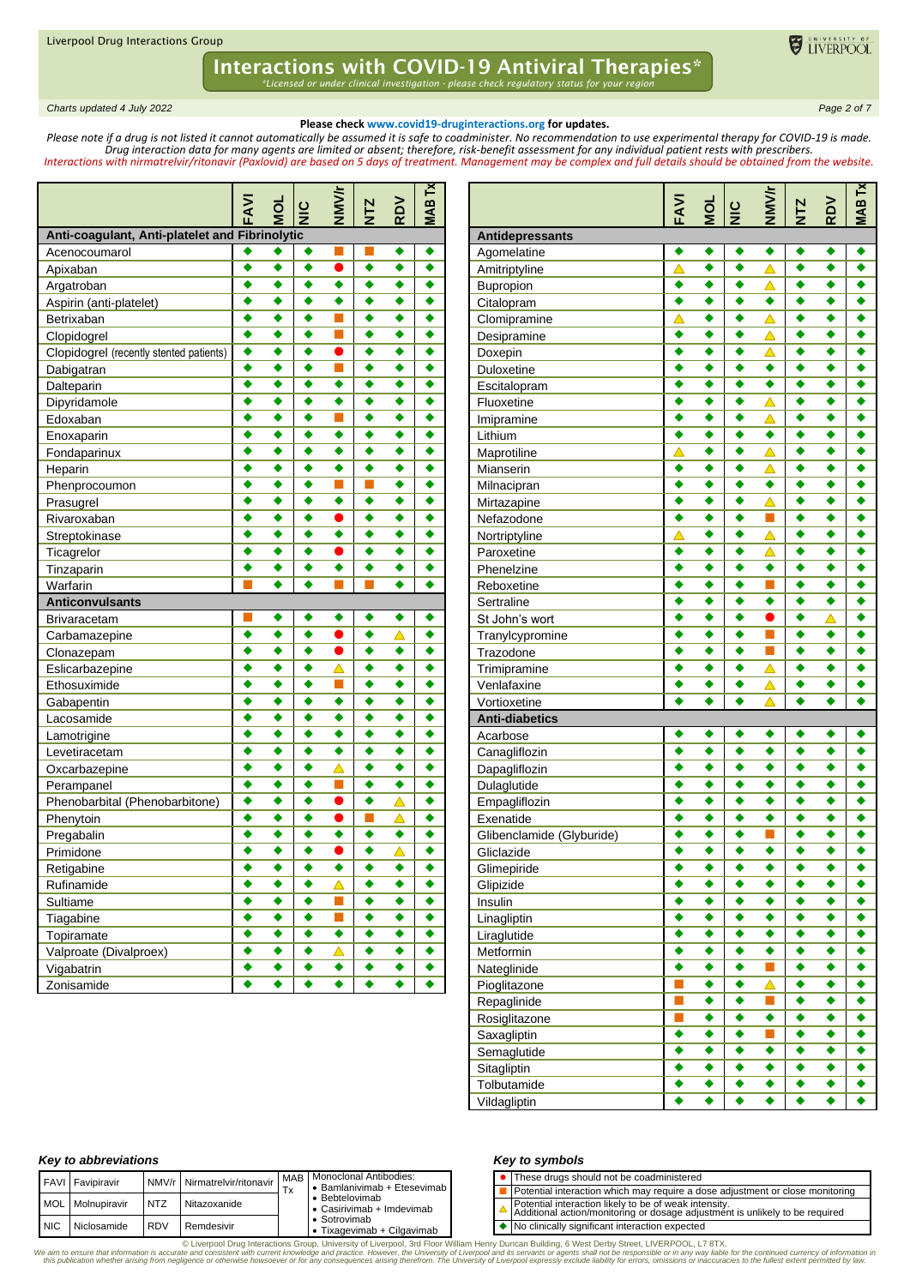## Interactions with COVID-19 Antiviral Therapies\*

*\*Licensed or under clinical investigation - please check regulatory status for your region*

*Charts updated 4 July 2022 Page 2 of 7*

#### **Please check www.covid19-druginteractions.org for updates.**

ELIVERPOOL

*Please note if a drug is not listed it cannot automatically be assumed it is safe to coadminister. No recommendation to use experimental therapy for COVID-19 is made. Drug interaction data for many agents are limited or absent; therefore, risk-benefit assessment for any individual patient rests with prescribers. Interactions with nirmatrelvir/ritonavir (Paxlovid) are based on 5 days of treatment. Management may be complex and full details should be obtained from the website.*

|                                                | FAVI | ğ                | <b>NIC</b>       | <b>NNNK</b>      | <b>NTZ</b> | RDV              | .<br>∉ |
|------------------------------------------------|------|------------------|------------------|------------------|------------|------------------|--------|
| Anti-coagulant, Anti-platelet and Fibrinolytic |      |                  |                  |                  |            |                  |        |
| Acenocoumarol                                  | ٠    | ٠                | ٠                |                  |            | ٠                |        |
| Apixaban                                       | ٠    | ٠                | ٠                | ●                | ٠          | ٠                | ٠      |
| Argatroban                                     | ٠    | ٠                | ٠                | ٠                | ٠          | ٠                | ٠      |
| Aspirin (anti-platelet)                        | ٠    | ٠                | ٠                | ٠                |            | ٠                | ٠      |
| Betrixaban                                     |      | ٠                | ٠                |                  |            | ٠                |        |
| Clopidogrel                                    |      | ٠                | ٠                | п                |            | ٠                |        |
| Clopidogrel (recently stented patients)        | ٠    | ٠                | ٠                | D                | ٠          | ٠                | ٠      |
| Dabigatran                                     | ٠    | ٠                | ٠                | П                | ٠          | ٠                | ٠      |
| Dalteparin                                     | ٠    | ٠                | ٠                | ٠                | ٠          | ٠                | ٠      |
| Dipyridamole                                   | ٠    | ٠                | ٠                | ٠                | ٠          | ٠                | ٠      |
| Edoxaban                                       | ٠    | ٠                | ٠                | ×.               | ٠          | ٠                | ٠      |
| Enoxaparin                                     | ٠    | ٠                | ٠                | ٠                | ٠          | ٠                | ٠      |
| Fondaparinux                                   | ٠    | ٠                | ٠                | ٠                | ٠          | ٠                | ٠      |
| Heparin                                        | ٠    | ٠                | ٠                | ٠                | ٠          | ٠                | ٠      |
| Phenprocoumon                                  |      | ٠                | ٠                | π                |            | ٠                | ٠      |
| Prasugrel                                      |      | ٠                | ٠                | ٠                |            | ٠                |        |
| Rivaroxaban                                    |      | ٠                | ٠                |                  |            | ٠                | ٠      |
| Streptokinase                                  | ٠    | ٠                | ٠                | ٠                |            | ٠                |        |
| Ticagrelor                                     | ٠    | ٠                | ٠                | $\bullet$        | ٠          | ٠                | ٠      |
| Tinzaparin                                     | ٠    | ٠                | ٠                | ٠                | ٠          | ٠                | ٠      |
| Warfarin                                       |      |                  | ٠                |                  |            | ٠                |        |
| <b>Anticonvulsants</b>                         |      |                  |                  |                  |            |                  |        |
| <b>Brivaracetam</b>                            |      | ٠                | ٠                | ٠                | ٠          | ٠                |        |
| Carbamazepine                                  | ٠    | ٠                | $\ddot{\bullet}$ | $\bullet$        | ٠          | $\blacktriangle$ | ٠      |
| Clonazepam                                     |      | ٠                | ٠                | $\bullet$        | ٠          | ٠                | ٠      |
| Eslicarbazepine                                |      | ٠                | ٠                | △                |            | ٠                | ٠      |
| Ethosuximide                                   |      | ٠                | ٠                | ×.               |            | ٠                | ٠      |
| Gabapentin                                     |      | ٠                | ٠                | ٠                |            | ٠                | ٠      |
| Lacosamide                                     | ٠    | ٠                | ٠                | ٠                | ٠          | ٠                | ٠      |
| Lamotrigine                                    | ٠    | ٠                | ٠                | ٠                | ٠          | ٠                | ٠      |
| Levetiracetam                                  | ٠    | ٠                | ٠                | ٠                | ٠          | ٠                | ٠      |
| Oxcarbazepine                                  | ٠    | ٠                | ٠                | $\blacktriangle$ | ٠          | ٠                |        |
| Perampanel                                     | ٠    | ٠                | ٠                | п                | ٠          | ٠                | ٠      |
| Phenobarbital (Phenobarbitone)                 | ٠    | ٠                | ٠                |                  | ٠          | △                | ٠      |
| Phenytoin                                      | ٠    | ٠                | ٠                |                  |            | $\blacktriangle$ | ٠      |
| Pregabalin                                     | ٠    | ٠                | ٠                | ٠                | ♠          | ٠                |        |
| Primidone                                      | ٠    | ٠                | ٠                |                  | ٠          | $\blacktriangle$ | ٠      |
| Retigabine                                     |      |                  |                  |                  |            |                  |        |
| Rufinamide                                     |      | ٠                | ٠                | $\blacktriangle$ | ٠          | ٠                | ٠      |
| Sultiame                                       |      | ٠                | ٠                | П                | ٠          | ٠                |        |
| Tiagabine                                      | ٠    | ٠                | ٠                | П                | ٠          | ٠                | ٠      |
| Topiramate                                     | ٠    | ٠                | ٠                | ٠                | ٠          | ٠                | ٠      |
| Valproate (Divalproex)                         | ٠    | ٠                | ٠                | △                | ٠          | ٠                |        |
| Vigabatrin                                     | ٠    | $\ddot{\bullet}$ | ٠                | ٠                | ٠          | ٠                | ٠      |
| Zonisamide                                     | ٠    | ٠                | ٠                | ٠                | ٠          | ٠                | ٠      |

|                           | FAVI             | DO               | $rac{C}{Z}$      | <b>NNV/r</b>     | <b>NTZ</b> | RDV              | IAB Tx |
|---------------------------|------------------|------------------|------------------|------------------|------------|------------------|--------|
| Antidepressants           |                  |                  |                  |                  |            |                  |        |
| Agomelatine               | ٠                | ٠                | ٠                | ٠                | ٠          | ٠                | ٠      |
| Amitriptyline             | Δ                | ٠                | ٠                | $\blacktriangle$ | ٠          | $\ddot{\bullet}$ | ٠      |
| Bupropion                 | ٠                | ٠                | ٠                | △                | ٠          | ٠                | ٠      |
| Citalopram                | ٠                | ٠                | ٠                | ٠                | ٠          | ٠                | ٠      |
| Clomipramine              | $\blacktriangle$ | ٠                | ٠                | △                | ٠          | ٠                | ٠      |
| Desipramine               | ٠                | ٠                | ٠                | $\blacktriangle$ | ٠          | ٠                | ٠      |
| Doxepin                   | ٠                | ٠                | ٠                | $\blacktriangle$ | ٠          | ٠                | ٠      |
| Duloxetine                | ٠                | ٠                | ٠                | ٠                | ٠          | ٠                | ٠      |
| Escitalopram              | ٠                | ٠                | ٠                | ٠                | ٠          | ٠                | ٠      |
| Fluoxetine                | ٠                | ٠                | ٠                | △                | ٠          | ٠                | ٠      |
| Imipramine                | ٠                | ٠                | ٠                | $\blacktriangle$ | ٠          | ٠                | ٠      |
| Lithium                   | ٠                | ٠                | ٠                | ٠                | ٠          | ٠                | ٠      |
| Maprotiline               | $\triangle$      | ٠                | ٠                | Δ                | ٠          | ٠                | ٠      |
| Mianserin                 | ٠                | ٠                | ٠                | △                | ٠          | ٠                | ٠      |
| Milnacipran               | ٠                | ٠                | ٠                | ٠                | ٠          | ٠                | ٠      |
| Mirtazapine               | ٠                | ٠                | ٠                | $\blacktriangle$ | ٠          | ٠                | ٠      |
| Nefazodone                | ٠                | ٠                | ٠                | П                | ٠          | ٠                | ٠      |
| Nortriptyline             | Δ                | ٠                | ٠                | $\blacktriangle$ | ٠          | ٠                | ٠      |
| Paroxetine                | ٠                | ٠                | ٠                | $\blacktriangle$ | ٠          | ٠                | ٠      |
| Phenelzine                | ٠                | ٠                | ٠                | ٠                | ٠          | ٠                | ٠      |
| Reboxetine                | ٠                | ٠                | ٠                | ×.               | ٠          | ٠                | ٠      |
| Sertraline                | ٠                | ٠                | ٠                | ٠                | ٠          | ٠                | ٠      |
| St John's wort            | ٠                | ٠                | ٠                |                  | ٠          | Δ                | ٠      |
| Tranylcypromine           | ٠                | ٠                | ٠                | П                | ٠          | $\ddot{\bullet}$ | ٠      |
| Trazodone                 | ٠                | ٠                | ٠                | П                | ٠          | ٠                | ٠      |
| Trimipramine              | ٠                | ٠                | ٠                | $\blacktriangle$ | ٠          | ٠                | ٠      |
| Venlafaxine               | ٠                | ٠                | ٠                | △                | ٠          | ٠                | ٠      |
| Vortioxetine              |                  | ٠                | ٠                | Δ                |            | ٠                |        |
| <b>Anti-diabetics</b>     |                  |                  |                  |                  |            |                  |        |
| Acarbose                  | ٠                | ٠                | ٠                | ٠                | ٠          | ٠                | ٠      |
| Canagliflozin             | ٠                | ٠                | ٠                | ٠                | ٠          | ٠                | ٠      |
| Dapagliflozin             | ٠                | ٠                | ٠                | ٠                | ٠          | ٠                | ٠      |
| Dulaglutide               | ٠                | ٠                | ٠                | ٠                | ٠          | ٠                | ٠      |
| Empagliflozin             | ٠                | ٠                | ٠                | ٠                | ٠          | ٠                | ٠      |
| Exenatide                 | ٠                | ٠                | ٠                | ٠                | ٠          | ٠                | ٠      |
| Glibenclamide (Glyburide) | ٠                | ٠                | ٠                | ٠                | ٠          | ٠                | ٠      |
| Gliclazide                | ٠                | ٠                | ٠                | ٠                | ٠          | ٠                | ٠      |
| Glimepiride               |                  |                  |                  |                  |            |                  |        |
| Glipizide                 | ٠                | ٠                | ٠                | ٠                | ٠          | ٠                | ٠      |
| Insulin                   | ٠                | ٠                | ٠                | ٠                | ٠          | ٠                | ٠      |
| Linagliptin               | ٠                | $\bullet$        | ٠                | ٠                | ٠          | $\bullet$        | ٠      |
| Liraglutide               | ٠                | ٠                | ٠                | ٠                | ٠          | ٠                | ٠      |
| Metformin                 | ٠                | ٠                | ٠                | ٠                | ٠          | ٠                | ٠      |
| Nateglinide               | ٠                | ٠                | ٠                | П                | ٠          | ٠                | ٠      |
| Pioglitazone              | П                | ٠                | ٠                | Δ                | ٠          | ٠                | ٠      |
| Repaglinide               | П                | $\blacklozenge$  | ٠                | П                | ٠          | ٠                | ٠      |
| Rosiglitazone             | П                | $\blacklozenge$  | ٠                | ٠                | ٠          | ٠                | ٠      |
| Saxagliptin               | ٠                | ٠                | ٠                | П                | ٠          | ٠                | ٠      |
| Semaglutide               | ٠                | ٠                | ٠                | ٠                | ٠          | ٠                | ٠      |
| Sitagliptin               | ٠                | $\ddot{\bullet}$ | $\ddot{\bullet}$ | ٠                | ٠          | ٠                | ٠      |
| Tolbutamide               | ٠                | $\blacklozenge$  | ٠                | ٠                | ٠          | ٠                | ٠      |
| Vildagliptin              | ٠                | ٠                | ٠                | ۰                | ٠          | $\ddot{\bullet}$ | ٠      |

#### *Key to abbreviations*

|            | <b>FAVI</b> Favipiravir |            | NMV/r Nirmatrelvir/ritonavir | Tx | MAB   Monoclonal Antibodies:<br>• Bamlanivimab + Etesevimab |
|------------|-------------------------|------------|------------------------------|----|-------------------------------------------------------------|
|            | MOL Molnupiravir        | NT7        | Nitazoxanide                 |    | • Bebtelovimab<br>• Casirivimab + Imdevimab                 |
| <b>NIC</b> | Niclosamide             | <b>RDV</b> | Remdesivir                   |    | • Sotrovimab<br>• Tixagevimab + Cilgavimab                  |

#### *Key to symbols*

| • These drugs should not be coadministered                                                                                            |
|---------------------------------------------------------------------------------------------------------------------------------------|
| Potential interaction which may require a dose adjustment or close monitoring                                                         |
| Potential interaction likely to be of weak intensity.<br>Additional action/monitoring or dosage adjustment is unlikely to be required |

◆ No clinically significant interaction expected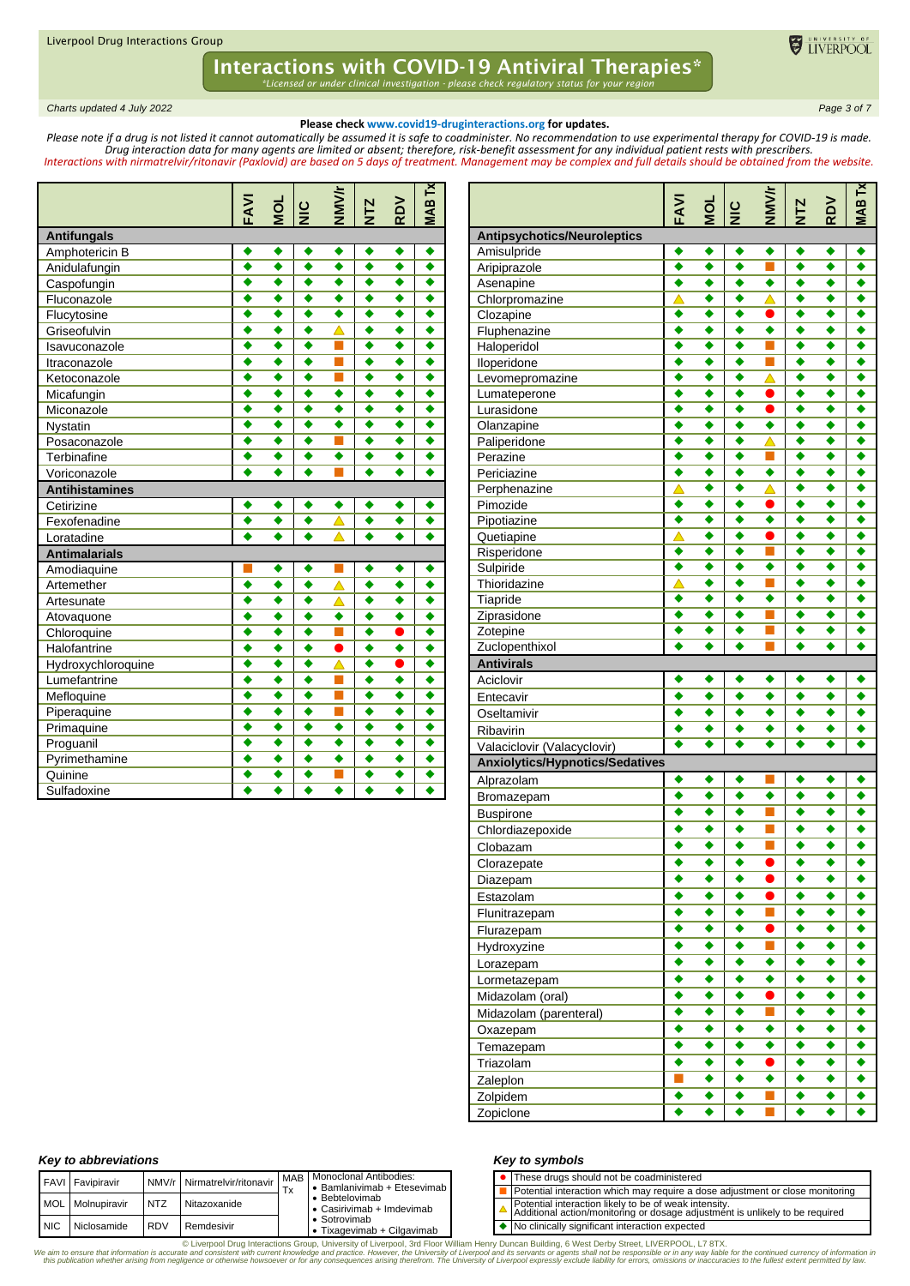*Charts updated 4 July 2022 Page 3 of 7*

### **Please check www.covid19-druginteractions.org for updates.**

ELIVERPOOL

*Please note if a drug is not listed it cannot automatically be assumed it is safe to coadminister. No recommendation to use experimental therapy for COVID-19 is made. Drug interaction data for many agents are limited or absent; therefore, risk-benefit assessment for any individual patient rests with prescribers. Interactions with nirmatrelvir/ritonavir (Paxlovid) are based on 5 days of treatment. Management may be complex and full details should be obtained from the website.*

|                       | FAVI                 | TOM                  | $rac{C}{Z}$          | <b>NMV/r</b>     | <b>NTZ</b>       | <b>RDV</b>           | <b>MABTx</b> |
|-----------------------|----------------------|----------------------|----------------------|------------------|------------------|----------------------|--------------|
| <b>Antifungals</b>    |                      |                      |                      |                  |                  |                      |              |
| Amphotericin B        | ٠                    | ٠                    | ٠                    | ٠                | ٠                | ٠                    | ٠            |
| Anidulafungin         | ٠                    | ٠                    | ٠                    | ٠                | ٠                | ٠                    | ٠            |
| Caspofungin           | ٠                    | ٠                    | ٠                    | ٠                | ٠                | ٠                    | ٠            |
| Fluconazole           |                      | ٠                    | ٠                    | ٠                |                  | ٠                    | ٠            |
| Flucytosine           | ٠                    | ٠                    | ٠                    | ٠                | ٠                | ٠                    | ٠            |
| Griseofulvin          | ٠                    | ٠                    | ٠                    | △                | ٠                | $\ddot{\bullet}$     | ٠            |
| Isavuconazole         | ò                    | $\ddot{\bullet}$     | $\ddot{\bullet}$     | ٦                | $\ddot{\bullet}$ | $\overline{\bullet}$ | $\bullet$    |
| Itraconazole          | $\overline{\bullet}$ | ٠                    | ٠                    | ٦                | ٠                | ٠                    | ٠            |
| Ketoconazole          | ٠                    | ٠                    | $\overline{\bullet}$ | ٦                | ٠                | ٠                    | ٠            |
| Micafungin            | ∙                    | $\overline{\bullet}$ |                      | ٠                | ∙                | $\overline{\bullet}$ | ٠            |
| Miconazole            | ٠                    | ٠                    | $\overline{\bullet}$ | ٠                | $\ddot{\bullet}$ | ٠                    | ٠            |
| Nystatin              | ٠                    | ٠                    | $\ddot{\bullet}$     | ٠                | ٠                | $\ddot{\bullet}$     | ٠            |
| Posaconazole          | ٠                    | ٠                    | ٠                    | П                | ٠                | ٠                    | ٠            |
| Terbinafine           | ٠                    | ٠                    | ٠                    | ٠                | ٠                | ٠                    |              |
| Voriconazole          | ٠                    | ٠                    | ٠                    |                  | ٠                | ٠                    |              |
| <b>Antihistamines</b> |                      |                      |                      |                  |                  |                      |              |
| Cetirizine            | ٠                    | ٠                    | ٠                    | ٠                | ٠                | ٠                    |              |
| Fexofenadine          | ٠                    | ٠                    | ٠                    | Δ                | ٠                | ٠                    |              |
| Loratadine            |                      | ٠                    | $\ddot{\bullet}$     |                  |                  | ٠                    |              |
| <b>Antimalarials</b>  |                      |                      |                      |                  |                  |                      |              |
| Amodiaquine           |                      |                      | ٠                    |                  |                  | ٠                    |              |
| Artemether            | ٠                    | ٠                    | ٠                    | $\blacktriangle$ | ٠                | ٠                    | ٠            |
| Artesunate            | ó                    | ٠                    | ٠                    | Δ                | ٠                | $\ddot{\bullet}$     | ٠            |
| Atovaquone            |                      | ٠                    | 3                    | ٠                | ٠                | $\ddot{\bullet}$     | ٠            |
| Chloroquine           | ٠                    | $\overline{\bullet}$ | $\overline{\bullet}$ | T,               | ٠                | $\bullet$            | ٠            |
| Halofantrine          | $\ddot{\bullet}$     | ٠                    | $\overline{\bullet}$ | ●                | ٠                | ٠                    | ٠            |
| Hydroxychloroquine    | ٠                    | $\ddot{\bullet}$     | $\ddot{\bullet}$     | Δ                | ٠                | $\bullet$            | ٠            |
| Lumefantrine          | ٠                    | ٠                    | ٠                    | П                | ٠                | $\ddot{\bullet}$     | ٠            |
| Mefloquine            | ٠                    | ٠                    | ٠                    | п                | ٠                | ٠                    | ٠            |
| Piperaquine           | ٠                    | ٠                    | ٠                    | π                | ٠                | ٠                    | ٠            |
| Primaquine            | ٠                    | ٠                    | ٠                    | ٠                | ٠                | ٠                    | ٠            |
| Proguanil             | ٠                    | ٠                    | ٠                    | ٠                | ٠                | ٠                    | ٠            |
| Pyrimethamine         | ó                    | ٠                    | ٠                    | ٠                |                  | ٠                    |              |
| Quinine               | ٠                    | ٠                    | ٠                    | Τ                | ٠                | ٠                    |              |
| Sulfadoxine           |                      |                      |                      | ٠                |                  |                      |              |

|                                            | FAVI                 | DO     | $rac{C}{Z}$ | <b>NMV/r</b>     | <b>NTZ</b> | <b>RDV</b> | <b>MAB Tx</b> |
|--------------------------------------------|----------------------|--------|-------------|------------------|------------|------------|---------------|
| <b>Antipsychotics/Neuroleptics</b>         |                      |        |             |                  |            |            |               |
| Amisulpride                                | ٠                    | ٠      | ٠           | ٠                | ٠          | ٠          | ٠             |
| Aripiprazole                               | ٠                    | ٠      | ٠           | ٦                | ٠          | ٠          | ٠             |
| Asenapine                                  | ٠                    | ٠      | ٠           | ٠                | ٠          | ٠          | ٠             |
| Chlorpromazine                             | Δ                    | ٠      | ٠           | Δ                | ٠          | ٠          | ٠             |
| Clozapine                                  | ٠<br>٠               | ٠<br>٠ | ٠<br>٠      | $\bullet$<br>٠   | ٠<br>٠     | ٠<br>٠     | ٠<br>٠        |
| Fluphenazine<br>Haloperidol                | ٠                    | ٠      | ٠           | П                | ٠          | ٠          | ٠             |
| Iloperidone                                | ٠                    | ٠      | ٠           | ٠                | ٠          | ٠          | ٠             |
| Levomepromazine                            | ٠                    | ٠      | ٠           | $\blacktriangle$ | ٠          | ٠          | ٠             |
| Lumateperone                               | ٠                    | ٠      | ٠           | $\bullet$        | ٠          | ٠          | ٠             |
| Lurasidone                                 | ٠                    | ٠      | ٠           | $\bullet$        | ٠          | ٠          | ٠             |
| Olanzapine                                 | ٠                    | ٠      | ٠           | ٠                | ٠          | ٠          | ٠             |
| Paliperidone                               | ٠                    | ٠      | ٠           | △                | ٠          | ٠          | ٠             |
| Perazine                                   | ٠                    | ٠      | ٠           | П                | ٠          | ٠          | ٠             |
| Periciazine                                | ٠                    | ٠      | ٠           | ٠                | ٠          | ٠          | ٠             |
| Perphenazine                               | Δ                    | ٠      | ٠           | Δ                | ٠          | ٠          | ٠             |
| Pimozide                                   | ٠                    | ٠      | ٠           | ●                | ٠          | ٠          | ٠             |
| Pipotiazine                                | ٠                    | ٠      | ٠           | ٠                | ٠          | ٠          | ٠             |
| Quetiapine                                 | Δ                    | ٠      | ٠           | 0                | ٠          | ٠          | ٠             |
| Risperidone                                | ٠                    | ٠      | ٠           | П                | ٠          | ٠          | ٠             |
| Sulpiride                                  | ٠                    | ٠      | ٠           | ٠                | ٠          | ٠          | ٠             |
| Thioridazine                               | $\triangle$          | ٠      | ٠           | ٦                | ٠          | ٠          | ٠             |
| Tiapride                                   | ∙<br>٠               | ٠<br>٠ | ٠<br>٠      | ٠                | ٠          | ٠          | ٠<br>٠        |
| Ziprasidone<br>Zotepine                    | ٠                    | ٠      | ٠           |                  | ٠<br>٠     | ٠<br>٠     | ٠             |
| Zuclopenthixol                             | ٠                    | ٠      | ٠           |                  | ٠          | ٠          | ٠             |
| <b>Antivirals</b>                          |                      |        |             |                  |            |            |               |
|                                            |                      |        |             |                  |            |            |               |
|                                            | ٠                    | ٠      | ٠           | ٠                | ٠          | ٠          | ٠             |
| Aciclovir                                  | ٠                    | ٠      | ٠           | ٠                | ٠          | ٠          |               |
| Entecavir                                  | ٠                    | ٠      | ٠           | ٠                | ٠          | ٠          | ٠             |
| Oseltamivir                                | ٠                    | ٠      | ٠           | ٠                | ٠          | ٠          | ٠             |
| Ribavirin                                  | $\overline{\bullet}$ | ٠      | ٠           | ٠                | ٠          | ٠          | ٠             |
| Valaciclovir (Valacyclovir)                |                      |        |             |                  |            |            |               |
| <b>Anxiolytics/Hypnotics/Sedatives</b>     | ٠                    | ٠      | ٠           |                  | ٠          | ٠          | ٠             |
| Alprazolam                                 | ٠                    | ٠      | ٠           | ٠                | ٠          | ٠          | ٠             |
| Bromazepam                                 | ٠                    | ٠      | ٠           | ٦                | ٠          | ٠          | ٠             |
| <b>Buspirone</b>                           | ٠                    | ٠      | ٠           | П                | ٠          | ٠          | ٠             |
| Chlordiazepoxide<br>Clobazam               | ٠                    | ٠      | ٠           | П                | ٠          | ٠          | ٠             |
|                                            | ٠                    | ٠      | ٠           |                  | ٠          | ٠          | ٠             |
| Clorazepate                                | ٠                    | ٠      | ٠           | O                | ٠          | ٠          | ٠             |
| Diazepam                                   |                      | ٠      | ٠           | D                |            | ٠          |               |
| Estazolam                                  | ٠                    | ٠      | ٠           | П                | ٠          | ٠          |               |
| Flunitrazepam                              | ٠                    | ٠      | ٠           | $\bullet$        | ٠          | ٠          | ٠             |
| Flurazepam                                 | ٠                    | ٠      | ٠           | П                | ٠          | ٠          | ٠             |
| Hydroxyzine                                | ٠                    | ٠      | ٠           | ٠                | ٠          | ٠          | ٠             |
| Lorazepam                                  | ٠                    | ٠      | ٠           | ٠                | ٠          | ٠          | ٠             |
| Lormetazepam                               | ٠                    | ٠      | ٠           | $\bullet$        | ٠          | ٠          | ٠             |
| Midazolam (oral)<br>Midazolam (parenteral) | ٠                    | ٠      | ٠           | П                | ٠          | ٠          | ٠             |
| Oxazepam                                   | ٠                    | ٠      | ٠           | ٠                | ٠          | ٠          | ٠             |
| Temazepam                                  | ٠                    | ٠      | ٠           | ٠                | ٠          | ٠          | ٠             |
| Triazolam                                  | ٠                    | ٠      | ٠           | $\bullet$        | ٠          | ٠          | ٠             |
| Zaleplon                                   | ×.                   | ٠      | ٠           | ٠                | ٠          | ٠          |               |
| Zolpidem<br>Zopiclone                      | ٠                    | ٠      | ٠           | П                | ٠          | ٠          | ٠             |

#### *Key to abbreviations*

|            | <b>FAVI</b> Favipiravir |             | NMV/r Nirmatrelvir/ritonavir | I MAB   Monoclonal Antibodies:                      |  | • These drugs should not be coadministered                                                     |
|------------|-------------------------|-------------|------------------------------|-----------------------------------------------------|--|------------------------------------------------------------------------------------------------|
|            |                         |             |                              | Bamlanivimab + Etesevimab                           |  | Potential interaction which may require a do                                                   |
|            | MOL Molnupiravir        | <b>INTZ</b> | Nitazoxanide                 | • Bebtelovimab<br>$\bullet$ Casirivimab + Imdevimab |  | Potential interaction likely to be of weak inte<br>Additional action/monitoring or dosage adju |
| <b>NIC</b> | Niclosamide             | <b>RDV</b>  | Remdesivir                   | • Sotrovimab<br>• Tixagevimab + Cilgavimab          |  | No clinically significant interaction expected                                                 |

#### *Key to symbols*

| • These drugs should not be coadministered                                                                                            |
|---------------------------------------------------------------------------------------------------------------------------------------|
| Potential interaction which may require a dose adjustment or close monitoring                                                         |
| Potential interaction likely to be of weak intensity.<br>Additional action/monitoring or dosage adjustment is unlikely to be required |
| No clinically significant interaction expected                                                                                        |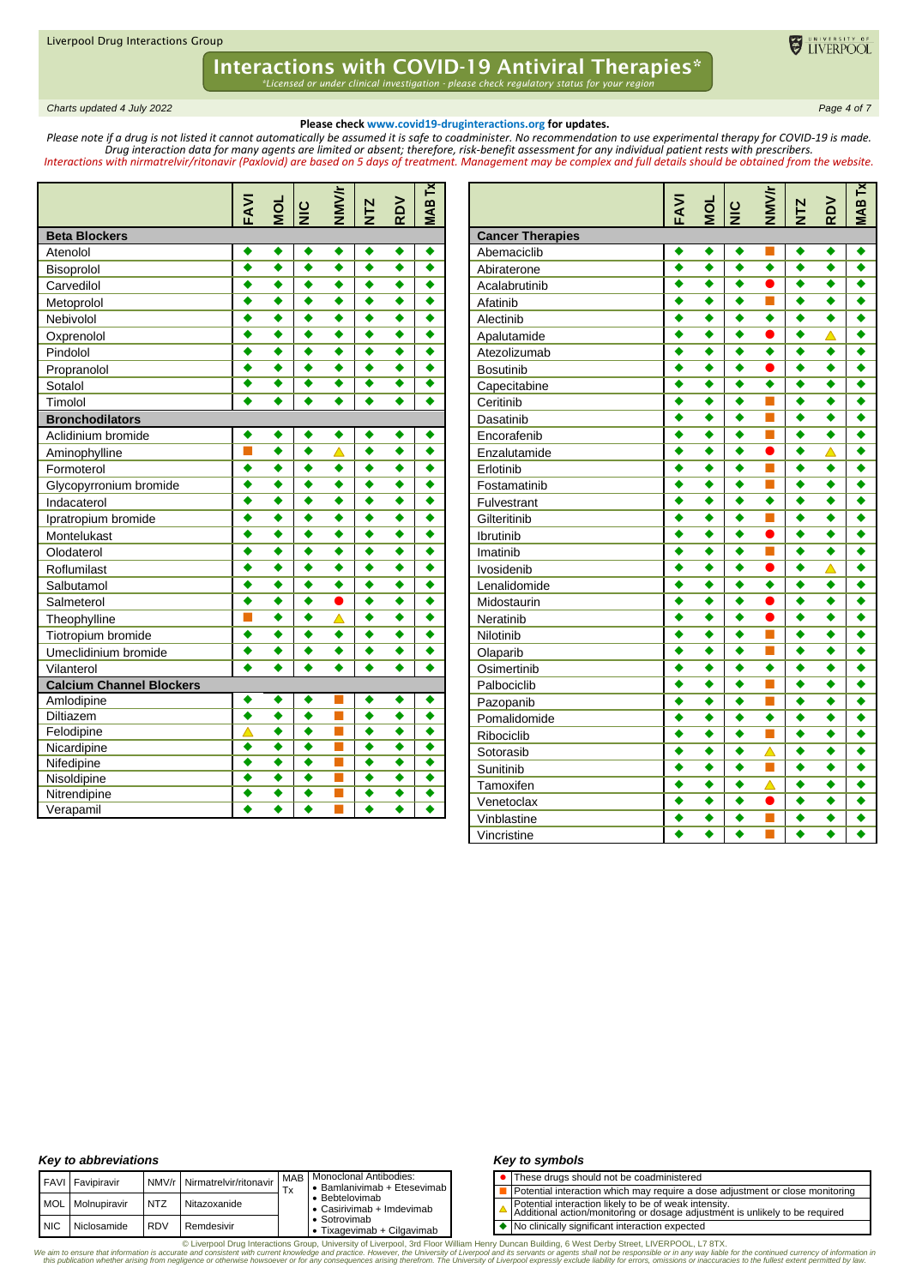*Charts updated 4 July 2022 Page 4 of 7*

#### **Please check www.covid19-druginteractions.org for updates.**

ELIVERPOOL

*Please note if a drug is not listed it cannot automatically be assumed it is safe to coadminister. No recommendation to use experimental therapy for COVID-19 is made. Drug interaction data for many agents are limited or absent; therefore, risk-benefit assessment for any individual patient rests with prescribers. Interactions with nirmatrelvir/ritonavir (Paxlovid) are based on 5 days of treatment. Management may be complex and full details should be obtained from the website.*

|                                 | FAVI             | <b>DI</b>            | $rac{C}{Z}$          | NMV/r                | <b>NTZ</b>           | RDV                  | <b>MAB Tx</b>        |
|---------------------------------|------------------|----------------------|----------------------|----------------------|----------------------|----------------------|----------------------|
| <b>Beta Blockers</b>            |                  |                      |                      |                      |                      |                      |                      |
| Atenolol                        | ٠                | ٠                    | ٠                    | ٠                    | ٠                    | ٠                    | ٠                    |
| Bisoprolol                      | ٠                | ٠                    | ٠                    | ٠                    | ٠                    | ٠                    | ٠                    |
| Carvedilol                      | ٠                | ٠                    | ٠                    | ٠                    | ٠                    | ٠                    | ٠                    |
| Metoprolol                      |                  | ٠                    | ٠                    | ٠                    | ٠                    | ٠                    | ٠                    |
| Nebivolol                       | ٠                | $\overline{\bullet}$ | $\ddot{\bullet}$     | ٠                    | ٠                    | ٠                    | ٠                    |
| Oxprenolol                      | ٠                | ٠                    | ٠                    | ٠                    | ٠                    | ٠                    |                      |
| Pindolol                        | ٠                | $\ddot{\bullet}$     | $\ddot{\bullet}$     | $\ddot{\bullet}$     | ٠                    | $\ddot{\bullet}$     | $\ddot{\bullet}$     |
| Propranolol                     | ٠                | ٠                    | ٠                    | ٠                    | ٠                    | ٠                    | ٠                    |
| Sotalol                         | ⋄                | ⋄                    | $\overline{\bullet}$ | $\overline{\bullet}$ | $\overline{\bullet}$ | $\overline{\bullet}$ | $\overline{\bullet}$ |
| Timolol                         | ٠                | ٠                    | $\ddot{\bullet}$     | ٠                    | ٠                    | ٠                    |                      |
| <b>Bronchodilators</b>          |                  |                      |                      |                      |                      |                      |                      |
| Aclidinium bromide              | ٠                | ٠                    | $\blacklozenge$      | ٠                    | ٠                    | ٠                    | ٠                    |
| Aminophylline                   | П                | $\bullet$            | ٠                    | △                    | ٠                    | ٠                    | ٠                    |
| Formoterol                      | $\ddot{\bullet}$ | $\bullet$            | $\ddot{\bullet}$     | $\bullet$            | $\ddot{\bullet}$     | ٠                    | ٠                    |
| Glycopyrronium bromide          | ٠                | $\bullet$            | $\ddot{\bullet}$     | ٠                    | ٠                    | ٠                    | ٠                    |
| Indacaterol                     |                  | ٠                    | ٠                    | ٠                    | ٠                    | ٠                    | ٠                    |
| Ipratropium bromide             | ٠                | ٠                    | ٠                    | ٠                    | ٠                    | ٠                    | ٠                    |
| Montelukast                     |                  | ٠                    | ٠                    | ٠                    | ٠                    | ٠                    | ٠                    |
| Olodaterol                      |                  | ٠                    | ٠                    | ٠                    |                      | ٠                    | ٠                    |
| Roflumilast                     |                  | ٠                    | ٠                    | ٠                    | ٠                    | ٠                    | ٠                    |
| Salbutamol                      |                  | ٠                    | ٠                    | ٠                    |                      | ٠                    | ٠                    |
| Salmeterol                      | ó                | ٠                    | $\ddot{\bullet}$     | Ô                    | ٠                    | $\bullet$            | ٠                    |
| Theophylline                    |                  | ٠                    | ٠                    | Δ                    | ٠                    | ٠                    | ٠                    |
| Tiotropium bromide              | ٠                | ٠                    | ٠                    | ٠                    | ٠                    | ٠                    |                      |
| Umeclidinium bromide            | ٠                | ٠                    | ٠                    | ٠                    | ٠                    | ٠                    |                      |
| Vilanterol                      | $\bullet$        | $\bullet$            | $\overline{\bullet}$ | $\ddot{\bullet}$     | $\overline{\bullet}$ | $\bullet$            |                      |
| <b>Calcium Channel Blockers</b> |                  |                      |                      |                      |                      |                      |                      |
| Amlodipine                      |                  | ٠                    | ٠                    |                      | ٠                    | ٠                    | ٠                    |
| Diltiazem                       | ٠                | ٠                    | ٠                    |                      | ٠                    | ٠                    | ٠                    |
| Felodipine                      | Δ                | ٠                    | ٠                    |                      | ٠                    | ٠                    | ٠                    |
| Nicardipine                     | ٠                | $\ddot{\bullet}$     | $\ddot{\bullet}$     | П                    | ٠                    | $\ddot{\bullet}$     | ٠                    |
| Nifedipine                      | ٠                | ٠                    | $\overline{\bullet}$ | п                    | ٠                    | ٠                    | ٠                    |
| Nisoldipine                     | ٠                | ٠                    | ٠                    | π                    | ٠                    | ٠                    | ٠                    |
| Nitrendipine                    | ٠                | ٠                    | ٠                    |                      | ٠                    | ٠                    | ٠                    |
| Verapamil                       |                  | ٠                    | ٠                    |                      |                      | ٠                    | $\bullet$            |

|                                        | FAVI | <b>NOL</b>           | $\frac{10}{2}$       | <b>NMV/r</b>     | NTZ              | RDV                  | N<br><b>SVIN</b>     |
|----------------------------------------|------|----------------------|----------------------|------------------|------------------|----------------------|----------------------|
|                                        |      |                      |                      |                  |                  |                      |                      |
| <b>Cancer Therapies</b><br>Abemaciclib | ٠    | ٠                    | ٠                    | П                | ٠                | $\bullet$            | ٠                    |
| Abiraterone                            | ٠    | ٠                    | ٠                    | ٠                | ٠                | ٠                    | ٠                    |
| Acalabrutinib                          | ◆    | ٠                    | ٠                    | ●                | ٠                | ٠                    | ٠                    |
| Afatinib                               | ٠    | ٠                    | ٠                    | П                | ٠                | ٠                    | ٠                    |
| Alectinib                              | ٠    | $\bullet$            | ٠                    | $\ddot{\bullet}$ | ٠                | $\ddot{\bullet}$     | ٠                    |
| Apalutamide                            | ٠    | ٠                    | ٠                    |                  | ٠                | △                    | ٠                    |
| Atezolizumab                           | ٠    | $\overline{\bullet}$ | ٠                    | ٠                | ٠                | $\overline{\bullet}$ | $\overline{\bullet}$ |
| <b>Bosutinib</b>                       | ٠    | $\ddot{\bullet}$     | $\ddot{\bullet}$     | $\bullet$        | ٠                | ٠                    | ∙                    |
| Capecitabine                           | ٠    | ٠                    | ٠                    | ٠                | ٠                | ٠                    | ٠                    |
| Ceritinib                              |      | ٠                    | ٠                    | П                | ٠                | ٠                    | ٠                    |
| Dasatinib                              | ٠    | ٠                    | ٠                    | П                | ٠                | ٠                    | ٠                    |
| Encorafenib                            | ٠    | ٠                    | ٠                    | П                | ٠                | ٠                    | ٠                    |
| Enzalutamide                           | ٠    | ٠                    | ٠                    |                  | ٠                | Δ                    | ٠                    |
| Erlotinib                              | ٠    | $\ddot{\bullet}$     | $\ddot{\bullet}$     | П                | ٠                | $\ddot{\bullet}$     | $\bullet$            |
| Fostamatinib                           | ٠    | ٠                    | ٠                    | П                | ٠                | ٠                    | ٠                    |
| Fulvestrant                            | ٠    | ٠                    | ٠                    | ٠                | ٠                | ٠                    | ٠                    |
| Gilteritinib                           | ٠    | ٠                    | ٠                    | П                | ٠                | ٠                    | ٠                    |
| Ibrutinib                              | ٠    | ٠                    | ٠                    | $\bullet$        | ٠                | ٠                    | ٠                    |
| Imatinib                               | ٠    | ٠                    | ٠                    | П                | ٠                | $\bullet$            | ٠                    |
| Ivosidenib                             | ٠    | ٠                    | ٠                    |                  | ٠                | $\blacktriangle$     | ٠                    |
| Lenalidomide                           | ٠    | $\overline{\bullet}$ | $\overline{\bullet}$ | ٠                | ٠                | $\overline{\bullet}$ | $\overline{\bullet}$ |
| Midostaurin                            | ٠    | ٠                    | ٠                    | ●                | ٠                | ٠                    | ٠                    |
| Neratinib                              | ٠    | ٠                    | ٠                    | $\bullet$        | ٠                | ٠                    | ٠                    |
| Nilotinib                              |      | ٠                    | ٠                    | H.               | ٠                | ٠                    | ٠                    |
| Olaparib                               | ٠    | ٠                    | ٠                    | П                | ٠                | ٠                    | ٠                    |
| Osimertinib                            | ٠    | $\ddot{\bullet}$     | $\bullet$            | ٠                | ۰                | $\ddot{\bullet}$     | ٠                    |
| Palbociclib                            | ٠    | ٠                    | ٠                    | г                | ٠                | ٠                    | ٠                    |
| Pazopanib                              | ٠    | $\ddot{\bullet}$     | ٠                    | П                | ٠                | $\ddot{\bullet}$     | ٠                    |
| Pomalidomide                           | ٠    | $\ddot{\bullet}$     | $\ddot{\bullet}$     | ٠                | ٠                | ٠                    | ٠                    |
| Ribociclib                             | ٠    | ٠                    | ٠                    | Г                | ٠                | ٠                    | ٠                    |
| Sotorasib                              | ٠    | ٠                    | ٠                    | $\blacktriangle$ | ٠                | ٠                    | ٠                    |
| Sunitinib                              | ٠    | ٠                    | ٠                    | П                | ٠                | ٠                    | ٠                    |
| Tamoxifen                              | ٠    | ٠                    | ٠                    | $\blacktriangle$ | ٠                | ٠                    | ٠                    |
| Venetoclax                             | ٠    | ٠                    | $\ddot{\bullet}$     |                  | $\ddot{\bullet}$ | $\ddot{\bullet}$     | ٠                    |
| Vinblastine                            | ٠    | ٠                    | $\ddot{\bullet}$     | П                | ٠                | ٠                    | ٠                    |
| Vincristine                            | ٠    | ٠                    | ٠                    |                  | ٠                | ٠                    | ٠                    |

#### *Key to abbreviations*

|            | FAVI Favipiravir |            | NMV/r Nirmatrelvir/ritonavir | Тx | MAB   Monoclonal Antibodies:<br>• Bamlanivimab + Etesevimab |
|------------|------------------|------------|------------------------------|----|-------------------------------------------------------------|
| <b>MOL</b> | Molnupiravir     | <b>NTZ</b> | Nitazoxanide                 |    | • Bebtelovimab<br>• Casirivimab + Imdevimab                 |
| <b>NIC</b> | Niclosamide      | <b>RDV</b> | Remdesivir                   |    | • Sotrovimab<br>• Tixagevimab + Cilgavimab                  |

#### *Key to symbols*

| • These drugs should not be coadministered |
|--------------------------------------------|
|--------------------------------------------|

- Potential interaction which may require a dose adjustment or close monitoring
- Potential interaction likely to be of weak intensity. Additional action/monitoring or dosage adjustment is unlikely to be required  $\Delta$
- ◆ No clinically significant interaction expected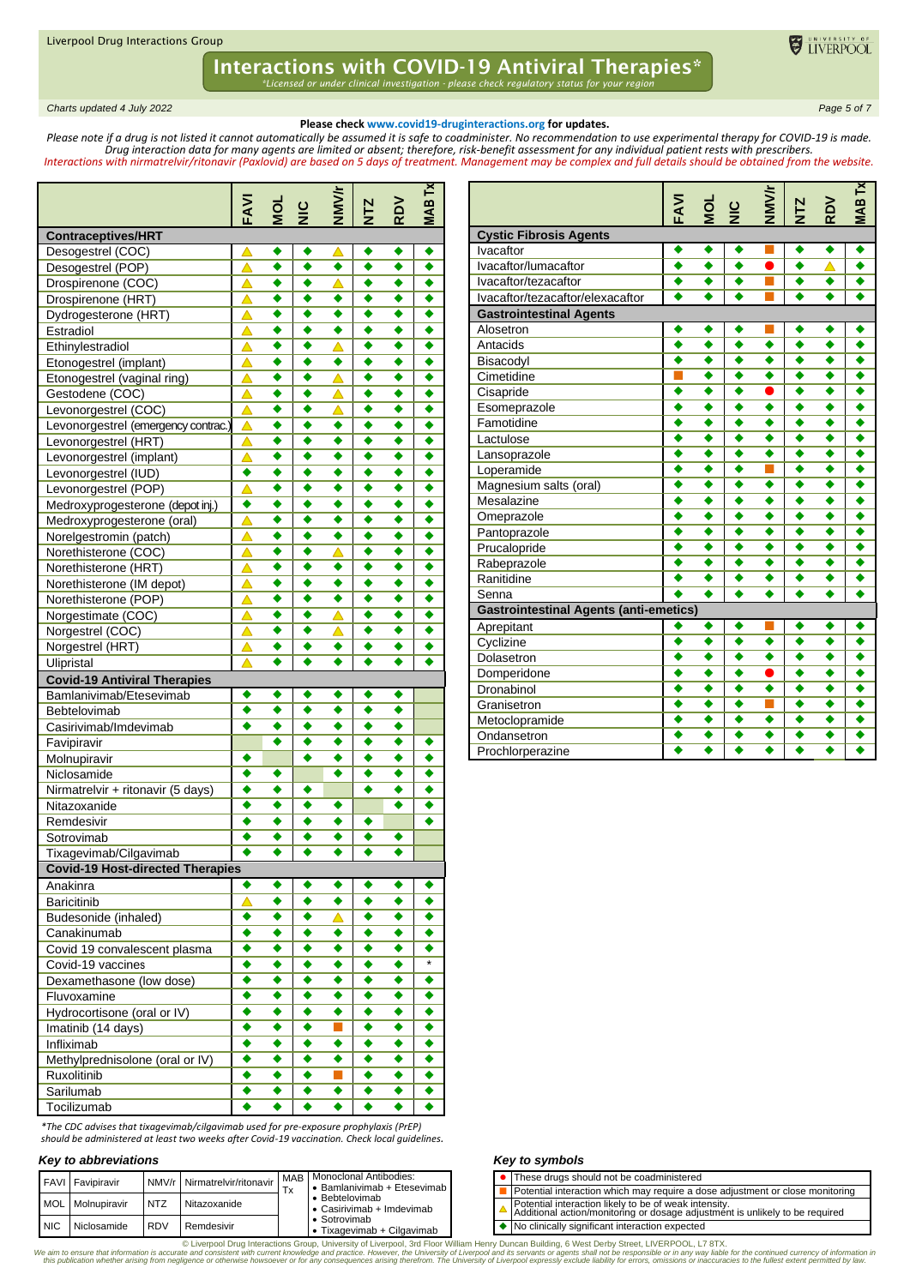*Charts updated 4 July 2022 Page 5 of 7*

#### **Please check www.covid19-druginteractions.org for updates.**

ELIVERPOOL

*Please note if a drug is not listed it cannot automatically be assumed it is safe to coadminister. No recommendation to use experimental therapy for COVID-19 is made. Drug interaction data for many agents are limited or absent; therefore, risk-benefit assessment for any individual patient rests with prescribers. Interactions with nirmatrelvir/ritonavir (Paxlovid) are based on 5 days of treatment. Management may be complex and full details should be obtained from the website.*

|                                                                | FAVI             | $\frac{5}{2}$ $\frac{1}{2}$ |        | <b>NNNK</b>      | <b>NTZ</b>       | RDV    | <b>MAB Tx</b> |
|----------------------------------------------------------------|------------------|-----------------------------|--------|------------------|------------------|--------|---------------|
| <b>Contraceptives/HRT</b>                                      |                  |                             |        |                  |                  |        |               |
| Desogestrel (COC)                                              | Δ                | ٠                           | ٠      | △                | ٠                | ٠      | ٠             |
| Desogestrel (POP)                                              | Δ                | ٠                           | ٠      | ٠                | ٠                | ٠      | ٠             |
| Drospirenone (COC)                                             | △                | ٠                           | ٠      | △                | ٠                | ٠      | ٠             |
| Drospirenone (HRT)                                             | $\blacktriangle$ | ٠                           | ٠      | ٠                |                  | ٠      | ٠             |
| Dydrogesterone (HRT)                                           | Δ                | ٠                           | ٠      | ٠                | ٠                | ٠      | ٠             |
| Estradiol                                                      | Δ                | ٠                           | ٠      | ٠                | ٠                | ٠      | ٠             |
| Ethinylestradiol                                               | Δ                | ٠                           | ٠      | Δ                | ٠                | ٠      | ٠             |
| Etonogestrel (implant)                                         | $\blacktriangle$ | ٠                           | ٠      | ٠                | ٠                | ٠      | ٠             |
| Etonogestrel (vaginal ring)                                    | Δ                | ٠                           | ٠      | $\blacktriangle$ | ٠                | ٠      | ٠             |
| Gestodene (COC)                                                | Δ                | ٠                           | ٠      | Δ                | ٠                | ٠      | ٠             |
| Levonorgestrel (COC)                                           | Δ                | ٠<br>٠                      | ٠<br>٠ | △<br>٠           | ٠<br>٠           | ٠<br>٠ | ٠<br>٠        |
| Levonorgestrel (emergency contrac.)                            | △                | ٠                           | ٠      | ٠                | ٠                | ٠      | ٠             |
| Levonorgestrel (HRT)                                           | Δ                | ٠                           | ٠      | ٠                | ٠                | ٠      | ٠             |
| Levonorgestrel (implant)                                       | △<br>٠           | ٠                           | ٠      | ٠                | ٠                | ٠      | ٠             |
| Levonorgestrel (IUD)                                           | Δ                | ٠                           | ٠      | ٠                | ٠                | ٠      | ٠             |
| Levonorgestrel (POP)                                           | ٠                | ٠                           | ٠      | ٠                | ٠                | ٠      | ٠             |
| Medroxyprogesterone (depot inj.)<br>Medroxyprogesterone (oral) | $\triangle$      | ٠                           | ٠      | ٠                | ٠                | ٠      | ٠             |
| Norelgestromin (patch)                                         | Δ                | ٠                           | ٠      | ٠                | ٠                | ٠      | ٠             |
| Norethisterone (COC)                                           | Δ                | ٠                           | ٠      | $\blacktriangle$ | ٠                | ٠      | ٠             |
| Norethisterone (HRT)                                           | $\blacktriangle$ | ٠                           | ٠      | ٠                | ٠                | ٠      | ٠             |
| Norethisterone (IM depot)                                      | △                | ٠                           | ٠      | ٠                | ٠                | ٠      | ٠             |
| Norethisterone (POP)                                           | △                | ٠                           | ٠      | ٠                | ٠                | ٠      | ٠             |
| Norgestimate (COC)                                             | Δ                | ٠                           | ٠      | $\blacktriangle$ | ٠                | ٠      | ٠             |
| Norgestrel (COC)                                               | △                | ٠                           | ٠      | △                | ٠                | ٠      | ٠             |
| Norgestrel (HRT)                                               | △                | ٠                           | ٠      | ٠                | ٠                | ٠      | ٠             |
| Ulipristal                                                     |                  |                             | ٠      | ٠                | ٠                |        |               |
| <b>Covid-19 Antiviral Therapies</b>                            |                  |                             |        |                  |                  |        |               |
| Bamlanivimab/Etesevimab                                        | ٠                | ٠                           | ٠      | ٠                | ٠                | ٠      |               |
| Bebtelovimab                                                   | ٠                | ٠                           | ٠      | ٠                | ٠                | ٠      |               |
| Casirivimab/Imdevimab                                          | ٠                | ٠                           | ٠      | ٠                | ٠                | ٠      |               |
| Favipiravir                                                    |                  | ٠                           | ٠      | ٠                | ٠                | ٠      | ٠             |
| Molnupiravir                                                   | ٠                |                             | ٠      | ٠                | ٠                | ٠      | ٠             |
| Niclosamide                                                    | ٠                | ٠                           |        | ٠                | ٠                | ٠      | ٠             |
| Nirmatrelvir + ritonavir (5 days)                              | ٠                | ٠                           | ٠      |                  | ٠                | ٠      | ٠             |
| Nitazoxanide                                                   | ٠                | ٠                           | ٠      | ٠                |                  | ٠      | ٠             |
| Remdesivir                                                     | ٠                | ٠                           | ٠      | ٠                | ٠                |        | ٠             |
| Sotrovimab                                                     | ٠                | ٠                           | ٠      | ٠                | ٠                |        |               |
| Tixagevimab/Cilgavimab                                         | ٠                | ٠                           | ٠      | ٠                | ٠                |        |               |
| <b>Covid-19 Host-directed Therapies</b>                        |                  |                             |        |                  |                  |        |               |
| Anakinra                                                       | ٠                | ٠                           | ٠      | ٠                | ٠                | ٠      | ٠             |
| <b>Baricitinib</b>                                             | △                | ٠                           | ٠      | ٠                | $\ddot{\bullet}$ | ٠      | ٠             |
| Budesonide (inhaled)                                           | ۰                | ٠                           | ٠      | $\blacktriangle$ | ٠                | ٠      | ٠             |
| Canakinumab                                                    | ٠                | ٠                           | ٠      | ٠                | ٠                | ٠      | ٠             |
| Covid 19 convalescent plasma                                   | ٠                | ٠                           | ٠      | ٠                | ٠                | ٠      |               |
| Covid-19 vaccines                                              | ٠                | ٠                           | ٠      | ٠                | ٠                | ٠      | $\star$       |
| Dexamethasone (low dose)                                       | ٠                | ٠                           | ٠      | ٠                | ٠                | ٠      | ٠             |
| Fluvoxamine                                                    | ٠                | ٠                           | ٠      | ٠                | ٠                | ٠      | ٠             |
| Hydrocortisone (oral or IV)                                    | ٠                | ٠                           | ٠      | ٠                | ٠                | ٠      | ٠             |
| Imatinib (14 days)                                             | ٠                | ٠                           | ٠      | П                | ٠                | ٠      | ٠             |
| Infliximab                                                     | ٠                | ٠                           | ٠      | ٠                | ٠                | ٠      | ٠             |
| Methylprednisolone (oral or IV)                                | ٠                | ٠<br>٠                      | ٠<br>٠ | ٠<br>П           | ٠                | ٠      | ٠             |
| Ruxolitinib                                                    | ٠                |                             | ٠      |                  | ٠                | ٠      | ٠             |
| Sarilumab                                                      | ٠                | ٠                           |        | ٠                | ٠                | ٠      | ٠             |
| Tocilizumab                                                    | ٠                | ٠                           | ٠      | ٠                | ٠                | ٠      | ٠             |

*\*The CDC advises that tixagevimab/cilgavimab used for pre-exposure prophylaxis (PrEP) should be administered at least two weeks after Covid-19 vaccination. Check local guidelines.* 

#### *Key to abbreviations*

|             | <b>FAVI</b> Favipiravir |            | NMV/r Nirmatrelvir/ritonavir | Tx | MAB   Monoclonal Antibodies:<br>• Bamlanivimab + Etesevimab |
|-------------|-------------------------|------------|------------------------------|----|-------------------------------------------------------------|
|             | MOL Molnupiravir        | NT7        | Nitazoxanide                 |    | • Bebtelovimab<br>• Casirivimab + Imdevimab                 |
| <b>INIC</b> | Niclosamide             | <b>RDV</b> | Remdesivir                   |    | • Sotrovimab<br>• Tixagevimab + Cilgavimab                  |

|                                               | FAVI             | $\frac{1}{2}$ $\frac{1}{2}$ |                  | <b>NWWF</b>            | <b>NTZ</b>       | RDV                  | <b>MAB Tx</b> |
|-----------------------------------------------|------------------|-----------------------------|------------------|------------------------|------------------|----------------------|---------------|
| <b>Cystic Fibrosis Agents</b>                 |                  |                             |                  |                        |                  |                      |               |
| Ivacaftor                                     | ٠                | ٠                           | ٠                | <b>Service Service</b> | ٠                | ٠                    | ٠             |
| Ivacaftor/lumacaftor                          | 4                | 4                           |                  |                        | $\ddot{\bullet}$ |                      |               |
| Ivacaftor/tezacaftor                          | ٠                | $\overline{\bullet}$        |                  | ┓                      | ٠                | ٠                    |               |
| Ivacaftor/tezacaftor/elexacaftor              |                  |                             |                  |                        |                  |                      |               |
| <b>Gastrointestinal Agents</b>                |                  |                             |                  |                        |                  |                      |               |
| Alosetron                                     |                  | ٠                           | ٠                |                        |                  |                      |               |
| Antacids                                      | $\ddot{\bullet}$ | ٠                           | $\ddot{\bullet}$ | ٠                      | $\ddot{\bullet}$ | ٠                    | ٠             |
| Bisacodyl                                     |                  | ٠                           | ٠                | ٠                      |                  | ٠                    |               |
| Cimetidine                                    |                  | ٠                           | ٠                | ٠                      |                  | ٠                    |               |
| Cisapride                                     |                  | ٠                           | ٠                | ×                      | 0                | ٠                    |               |
| Esomeprazole                                  |                  | ٠                           | ٠                | ٠                      | 0                | ٠                    |               |
| Famotidine                                    |                  | ٠                           | ٠                | ٠                      | ٠                | ٠                    |               |
| Lactulose                                     |                  | ٠                           | ٠                | ٠                      | ٠                | ٠                    |               |
| Lansoprazole                                  |                  | ٠                           | ٠                | ٠                      |                  | ٠                    |               |
| Loperamide                                    |                  | ٠                           | ٠                | ┓                      | ٠                | ٠                    |               |
| Magnesium salts (oral)                        | ٠                | ٠                           | ٠                | ٠                      | ٠                | ٠                    | ٠             |
| Mesalazine                                    |                  | ٠                           | ٠                | ٠                      | ٠                | ٠                    | ٠             |
| Omeprazole                                    |                  | $\bullet$                   | ٠                | ٠                      | ٠                | ٠                    | ٠             |
| Pantoprazole                                  | ▲                | $\bullet$                   | ٠                | ٠                      | ٠                | ٠                    | ٠             |
| Prucalopride                                  | ♦                | $\bullet$                   | ٠                | ٠                      | ٠                | ٠                    | ٠             |
| Rabeprazole                                   | ♦                | $\bullet$                   | ٠                | ٠                      | ٠                | ٠                    | ♦             |
| Ranitidine                                    | ٠                | ٠                           | ٠                | ٠                      | ٠                | ٠                    |               |
| Senna                                         |                  | $\bullet$                   | ٠                | ٠                      | ٠                | ٠                    |               |
| <b>Gastrointestinal Agents (anti-emetics)</b> |                  |                             |                  |                        |                  |                      |               |
| Aprepitant                                    | ٠                | ٠                           | ٠                |                        | ٠                | ٠                    | ٠             |
| Cyclizine                                     | $\ddot{\bullet}$ | ٠                           | $\bullet$        | ٠                      | $\ddot{\bullet}$ | $\ddot{\bullet}$     | ٠             |
| Dolasetron                                    | $\ddot{\bullet}$ | ٠                           | $\bullet$        | ٠                      | ٠                | $\ddot{\bullet}$     |               |
| Domperidone                                   | ٠                | ٠                           | $\ddot{\bullet}$ | $\bullet$              | ٠                | $\bullet$            |               |
| Dronabinol                                    | ٠                | $\overline{\bullet}$        | ٠                | ٠                      | ٠                | $\overline{\bullet}$ |               |
| Granisetron                                   | ٠                | $\overline{\bullet}$        | ٠                | ┓                      | ٠                | $\overline{\bullet}$ | ٠             |
| Metoclopramide                                | ٠                | $\ddot{\bullet}$            | ٠                | ٠                      | ٠                | ٠                    |               |
| Ondansetron                                   | ٠                | ٠                           | ٠                | ٠                      | ٠                | ٠                    |               |
| Prochlorperazine                              |                  |                             |                  |                        |                  |                      |               |

#### *Key to symbols*

- ⚫ These drugs should not be coadministered
- Potential interaction which may require a dose adjustment or close monitoring
	- Potential interaction likely to be of weak intensity. Additional action/monitoring or dosage adjustment is unlikely to be required
- ◆ No clinically significant interaction expected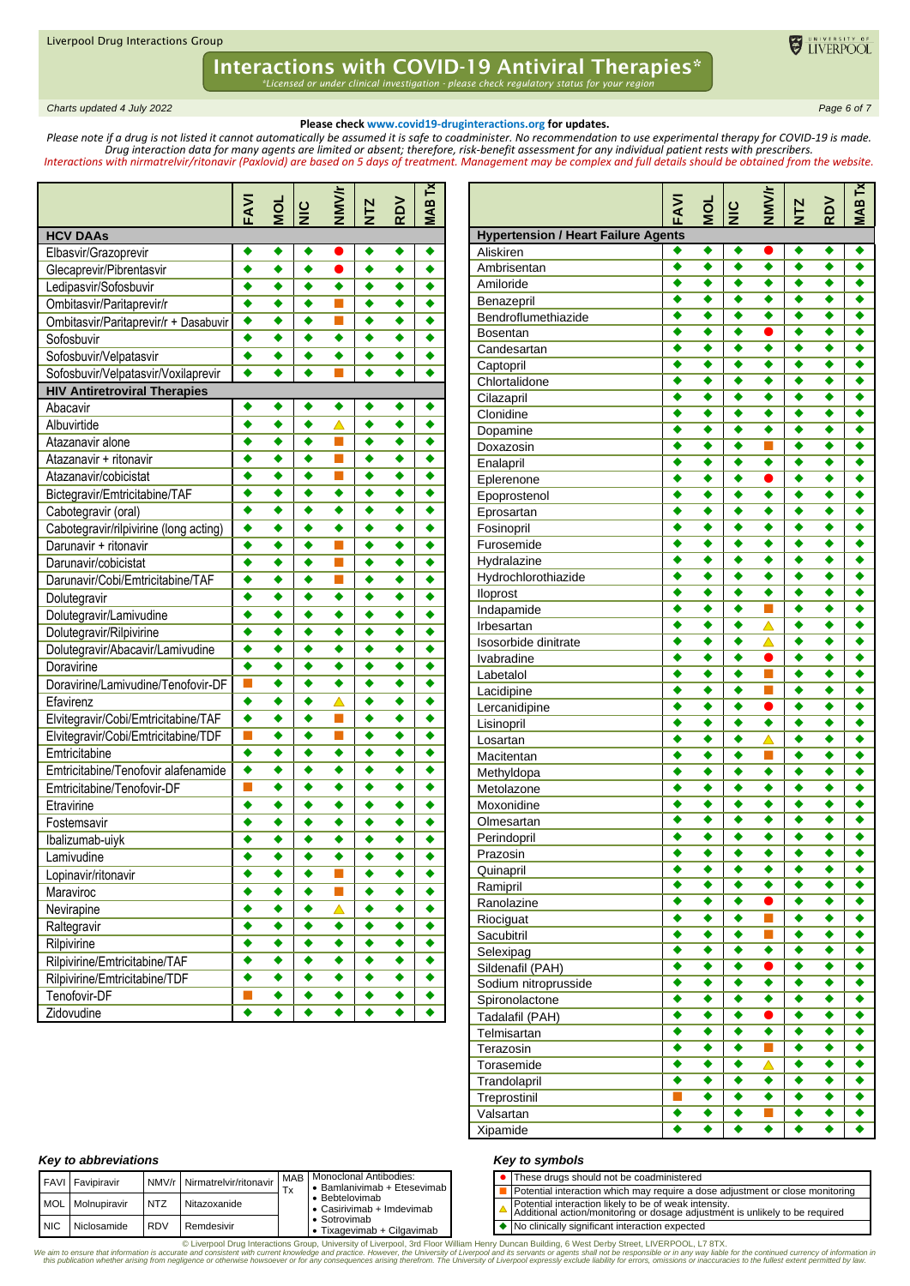*Charts updated 4 July 2022 Page 6 of 7*

#### **Please check www.covid19-druginteractions.org for updates.**

ELIVERPOOL

*Please note if a drug is not listed it cannot automatically be assumed it is safe to coadminister. No recommendation to use experimental therapy for COVID-19 is made. Drug interaction data for many agents are limited or absent; therefore, risk-benefit assessment for any individual patient rests with prescribers. Interactions with nirmatrelvir/ritonavir (Paxlovid) are based on 5 days of treatment. Management may be complex and full details should be obtained from the website.*

|                                        | FAVI                 | DOM | $\vert \frac{\mathsf{c}}{\mathsf{z}} \vert$ | <b>JIMNJ</b> | <b>NTZ</b>       | RDV | IAB <sub>Tx</sub> |
|----------------------------------------|----------------------|-----|---------------------------------------------|--------------|------------------|-----|-------------------|
| <b>HCV DAAs</b>                        |                      |     |                                             |              |                  |     |                   |
| Elbasvir/Grazoprevir                   | ٠                    | ٠   | ٠                                           |              | ٠                | ٠   |                   |
| Glecaprevir/Pibrentasvir               | $\bullet$            | ٠   | $\ddot{\bullet}$                            | ●            | ٠                | ٠   | ٠                 |
| Ledipasvir/Sofosbuvir                  | ٠                    | ٠   | $\ddot{\bullet}$                            | ٠            | $\bullet$        | ٠   | ٠                 |
| Ombitasvir/Paritaprevir/r              | ٠                    | ٠   | ٠                                           | m,           | ٠                | ٠   | ٠                 |
| Ombitasvir/Paritaprevir/r + Dasabuvir  | ٠                    | ٠   | ٠                                           | m.           | ٠                | ٠   | ٠                 |
| Sofosbuvir                             | ٠                    | ٠   | ٠                                           | ٠            | ٠                | ٠   | ٠                 |
| Sofosbuvir/Velpatasvir                 | ٠                    | ٠   | ٠                                           | ٠            | ٠                | ٠   |                   |
| Sofosbuvir/Velpatasvir/Voxilaprevir    | ٠                    |     |                                             |              |                  | ٠   |                   |
| <b>HIV Antiretroviral Therapies</b>    |                      |     |                                             |              |                  |     |                   |
| Abacavir                               | ٠                    | ٠   | ٠                                           | ٠            | ٠                | ٠   | ٠                 |
| Albuvirtide                            | ٠                    | ٠   | $\ddot{\bullet}$                            | Δ            | ٠                | ٠   |                   |
| Atazanavir alone                       | ٠                    | ٠   | ٠                                           | m.           | ٠                | ٠   |                   |
| Atazanavir + ritonavir                 | ٠                    | ٠   | ٠                                           | m,           | ٠                | ٠   | ٠                 |
| Atazanavir/cobicistat                  | ٠                    | ٠   | ٠                                           | m.           | ٠                | ٠   | ٠                 |
| Bictegravir/Emtricitabine/TAF          | ٠                    | ٠   | ٠                                           | ٠            | ٠                | ٠   | ٠                 |
| Cabotegravir (oral)                    | ٠                    | ٠   | ٠                                           | ٠            | ٠                | ٠   | ٠                 |
| Cabotegravir/rilpivirine (long acting) | ٠                    | ٠   | ٠                                           | ٠            | ٠                | ٠   | ٠                 |
| Darunavir + ritonavir                  | $\overline{\bullet}$ | ٠   | $\bullet$                                   | m.           | ٠                | ٠   | ٠                 |
| Darunavir/cobicistat                   | $\ddot{\bullet}$     | ٠   | ٠                                           | п            | ٠                | ٠   | ٠                 |
| Darunavir/Cobi/Emtricitabine/TAF       | ٠                    | ٠   | ٠                                           | П            | ٠                | ٠   | ٠                 |
| Dolutegravir                           | ٠                    | ٠   | ٠                                           | ٠            | ٠                | ٠   | ٠                 |
| Dolutegravir/Lamivudine                | ٠                    | ٠   | ٠                                           | ٠            | ٠                | ٠   | ٠                 |
| Dolutegravir/Rilpivirine               | ٠                    | ٠   | ٠                                           | ٠            | ٠                | ٠   | ٠                 |
| Dolutegravir/Abacavir/Lamivudine       | ٠                    | ٠   | ٠                                           | ٠            | ٠                | ٠   | ٠                 |
| Doravirine                             | ٠                    | ٠   | ٠                                           | ٠            |                  | ٠   | ٠                 |
| Doravirine/Lamivudine/Tenofovir-DF     | П                    | ٠   | ٠                                           | ٠            | ٠                | ٠   | ٠                 |
| Efavirenz                              | ٠                    | ٠   | ٠                                           | △            | ٠                | ٠   | ٠                 |
| Elvitegravir/Cobi/Emtricitabine/TAF    | ٠                    | ٠   | ٠                                           | п            | ٠                | ٠   | ٠                 |
| Elvitegravir/Cobi/Emtricitabine/TDF    | П                    | ٠   | $\ddot{\bullet}$                            | m,           | ٠                | ٠   | ٠                 |
| Emtricitabine                          | ٠                    | ٠   | ٠                                           | ٠            | ٠                | ٠   | ٠                 |
| Emtricitabine/Tenofovir alafenamide    | ٠                    | ٠   | ٠                                           | ٠            | ٠                | ٠   | ٠                 |
| Emtricitabine/Tenofovir-DF             | П                    | ٠   | ٠                                           | ٠            | ٠                | ٠   | ٠                 |
| Etravirine                             | ٠                    | ٠   | ٠                                           | ٠            | ٠                | ٠   |                   |
| Fostemsavir                            | ٠                    | ٠   | ٠                                           | ٠            | ٠                | ٠   |                   |
| Ibalizumab-uiyk                        | ٠                    | ٠   | ٠                                           | ٠            | ٠                | ٠   |                   |
| Lamivudine                             |                      |     |                                             |              |                  |     |                   |
| Lopinavir/ritonavir                    | ٠                    | ٠   | ٠                                           | ×.           | ٠                | ٠   | ٠                 |
| Maraviroc                              | ٠                    | ٠   | ٠                                           | m,           | ٠                | ٠   | ٠                 |
| Nevirapine                             | ٠                    | ٠   | ٠                                           | Δ            | ٠                | ٠   | ٠                 |
| Raltegravir                            | ٠                    | ٠   | ٠                                           | ٠            | ٠                | ٠   | ٠                 |
| Rilpivirine                            | ٠                    | ٠   | ٠                                           | ٠            | ٠                | ٠   | ٠                 |
| Rilpivirine/Emtricitabine/TAF          | ٠                    | ٠   | ٠                                           | ٠            | ٠                | ٠   | ٠                 |
| Rilpivirine/Emtricitabine/TDF          | ٠                    | ٠   | ٠                                           | ٠            | ٠                | ٠   | ٠                 |
| Tenofovir-DF                           | $\Box$               | ٠   | ٠                                           | ٠            | ٠                | ٠   | ٠                 |
| Zidovudine                             | ٠                    | ٠   | ٠                                           | ٠            | $\ddot{\bullet}$ | ٠   | ٠                 |

|                                            | FAVI                 | ă               | $rac{c}{z}$ | ミミ               | <b>NTZ</b> | <b>RDV</b> | <b>SVM</b> |
|--------------------------------------------|----------------------|-----------------|-------------|------------------|------------|------------|------------|
| <b>Hypertension / Heart Failure Agents</b> |                      |                 |             |                  |            |            |            |
| Aliskiren                                  | ٠                    | ٠               | ٠           |                  | ٠          | ٠          | ٠          |
| Ambrisentan                                | ٠                    | ٠               | ٠           | ٠                | $\bullet$  | ٠          | ٠          |
| Amiloride                                  | ٠                    | ٠               | ٠           | ٠                | ٠          | ٠          | ٠          |
| Benazepril                                 | ٠                    | ٠               | ٠           | ٠                | ٠          | ٠          | ٠          |
| Bendroflumethiazide                        |                      | ٠               | ٠           | ٠                | ◆          | ٠          |            |
| <b>Bosentan</b>                            |                      | ٠               | ٠           | D                | ٠          | ٠          | ٠          |
| Candesartan                                |                      | ٠               | ٠           | ٠                | ٠          | ٠          | ٠          |
| Captopril                                  | ٠                    | ٠               | ٠           | ٠                | ٠          | ٠          | ٠          |
| Chlortalidone                              | ٠                    | ٠               | ٠           | ٠                | ٠          | ٠          | ٠          |
| Cilazapril                                 |                      | ٠<br>٠          | ٠<br>٠      | ٠                | ٠          | ٠<br>٠     | ٠          |
| Clonidine                                  | ٠                    |                 |             | ٠                | ٠          |            | ٠          |
| Dopamine                                   | ٠<br>٠               | ٠<br>٠          | ٠<br>٠      | ٠                | ٠<br>٠     | ٠          | ٠          |
| Doxazosin                                  |                      |                 |             |                  |            | ٠          | ٠          |
| Enalapril                                  |                      | ٠<br>٠          | ٠<br>٠      | ٠<br>D           | ٠          | ٠<br>٠     | ٠          |
| Eplerenone                                 |                      | ٠               | ٠           | ٠                | ٠          | ٠          | ٠          |
| Epoprostenol                               | ٠                    | ٠               | ٠           | ٠                | ٠          | ٠          | ٠          |
| Eprosartan                                 | ٠                    | ٠               | ٠           | ٠                | ٠          | ٠          | ٠          |
| Fosinopril<br>Furosemide                   |                      | ٠               | ٠           | ٠                | ٠          | ٠          | ٠          |
|                                            | ٠                    | ٠               | ٠           | ٠                | ٠          | ٠          | ٠          |
| Hydralazine<br>Hydrochlorothiazide         | ٠                    | ٠               | ٠           | ٠                | ٠          | ٠          | ٠          |
|                                            | ٠                    | ٠               | ٠           | ٠                | ٠          | ٠          | ٠          |
| lloprost                                   |                      | ٠               | ٠           |                  | e          | ٠          | ٠          |
| Indapamide<br>Irbesartan                   |                      | ٠               | ٠           |                  |            | ٠          |            |
| Isosorbide dinitrate                       | ٠                    | ٠               | ٠           | $\triangle$      | ٠          | ٠          | ٠          |
| Ivabradine                                 | ٠                    | ٠               | ٠           | $\bullet$        | ٠          | ٠          | ٠          |
| Labetalol                                  | ٠                    | ٠               | ٠           |                  | ٠          | ٠          | ٠          |
| Lacidipine                                 | ٠                    | ٠               | ٠           |                  |            | ٠          | ٠          |
| Lercanidipine                              | ٠                    | ٠               | ٠           |                  | ٠          | ٠          | ٠          |
| Lisinopril                                 | ٠                    | ٠               | ٠           | ٠                | ٠          | ٠          | ٠          |
| Losartan                                   | ٠                    | ٠               | ٠           | $\blacktriangle$ | ٠          | ٠          | ٠          |
| Macitentan                                 |                      | ٠               | ٠           | ▉                | ٠          | ٠          | ٠          |
| Methyldopa                                 |                      | ٠               | ٠           | ٠                |            | ٠          | ٠          |
| Metolazone                                 |                      | ٠               | ٠           | ٠                | ٠          | ٠          | ٠          |
| Moxonidine                                 | ٠                    | ٠               | ٠           | ٠                | ٠          | ٠          | ٠          |
| Olmesartan                                 |                      | ٠               | ٠           | ٠                | ٠          | ٠          |            |
| Perindopril                                |                      | ٠               | ٠           | ٠                |            | ٠          |            |
| Prazosin                                   |                      |                 |             |                  |            |            |            |
| Quinapril                                  | ٠                    | ٠               | ٠           | ♥                | ٠          | ٠          |            |
| Ramipril                                   | $\overline{\bullet}$ | ٠               | ٠           | ٠                | ٠          | ٠          | ٠          |
| Ranolazine                                 | ٠                    | ٠               | ٠           | ●                | ٠          | ٠          | ٠          |
| Riociguat                                  | ٠                    | ٠               | ٠           | $\blacksquare$   | ٠          | ٠          | ٠          |
| Sacubitril                                 | ٠                    | ٠               | ٠           | П                | ٠          | ٠          | ٠          |
| Selexipag                                  | ٠                    | ٠               | ٠           | ٠                | ٠          | ٠          | ٠          |
| Sildenafil (PAH)                           | ٠                    | ٠               | ٠           | $\bullet$        | ٠          | ٠          | ٠          |
| Sodium nitroprusside                       | ٠                    | ٠               | ٠           | ٠                | ٠          | ٠          | ٠          |
| Spironolactone                             | ٠                    | ٠               | ٠           | ٠                | ٠          | ٠          | ٠          |
| Tadalafil (PAH)                            | $\overline{\bullet}$ | ٠               | ٠           | $\bullet$        | ٠          | ٠          | ٠          |
| Telmisartan                                | ٠                    | ٠               | ٠           | ٠                | ٠          | ٠          | ٠          |
| Terazosin                                  | ٠                    | ٠               | ٠           | П                | ٠          | ٠          | ٠          |
| Torasemide                                 | ٠                    | ٠               | ٠           | △                | ٠          | ٠          | ٠          |
| Trandolapril                               | ٠                    | $\bar{\bullet}$ | ٠           | ٠                | ٠          | ٠          | ٠          |
| Treprostinil                               | п                    | ٠               | ٠           | ٠                | ٠          | ٠          | ٠          |
| Valsartan                                  | ٠                    | ٠               | ٠           | П                | ٠          | ٠          | ٠          |
| Xipamide                                   | ٠                    | ٠               | ٠           | ٠                | ٠          | ٠          |            |

#### *Key to symbols*

|  | • These drugs should not be coadministered                                                                                            |
|--|---------------------------------------------------------------------------------------------------------------------------------------|
|  | Potential interaction which may require a dose adjustment or close monitoring                                                         |
|  | Potential interaction likely to be of weak intensity.<br>Additional action/monitoring or dosage adjustment is unlikely to be required |
|  | $\bullet$ No clinically significant interaction expected                                                                              |

#### *Key to abbreviations*

|       | <b>FAVI</b> Favipiravir | NMV/r      | Nirmatrelvir/ritonavir |                           | MAB   Monoclonal Antibodies:                       |  | • These drugs should not be coadministered |                                                |                                                                                                |  |                                              |
|-------|-------------------------|------------|------------------------|---------------------------|----------------------------------------------------|--|--------------------------------------------|------------------------------------------------|------------------------------------------------------------------------------------------------|--|----------------------------------------------|
|       |                         |            | Ιx                     |                           | • Bebtelovimab                                     |  |                                            |                                                | • Bamlanivimab + Etesevimab                                                                    |  | Potential interaction which may require a do |
|       | MOL Molnupiravir        | <b>NTZ</b> | Nitazoxanide           | • Casirivimab + Imdevimab |                                                    |  |                                            |                                                | Potential interaction likely to be of weak inte<br>Additional action/monitoring or dosage adju |  |                                              |
| . NIC | Niclosamide             | <b>RDV</b> | Remdesivir             |                           | $\bullet$ Sotrovimab<br>• Tixagevimab + Cilgavimab |  |                                            | No clinically significant interaction expected |                                                                                                |  |                                              |
|       |                         |            |                        |                           |                                                    |  |                                            |                                                |                                                                                                |  |                                              |